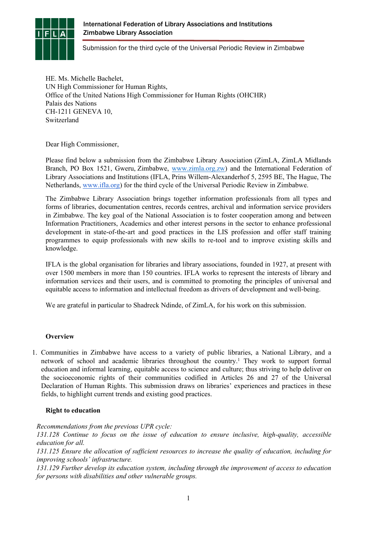

Submission for the third cycle of the Universal Periodic Review in Zimbabwe

HE. Ms. Michelle Bachelet, UN High Commissioner for Human Rights, Office of the United Nations High Commissioner for Human Rights (OHCHR) Palais des Nations CH-1211 GENEVA 10, Switzerland

Dear High Commissioner,

Please find below <sup>a</sup> submission from the Zimbabwe Library Association (ZimLA, ZimLA Midlands Branch, PO Box 1521, Gweru, Zimbabwe, [www.zimla.org.zw](http://www.zimla.org.zw)) and the International Federation of Library Associations and Institutions (IFLA, Prins Willem-Alexanderhof 5, 2595 BE, The Hague, The Netherlands, [www.ifla.org](http://www.ifla.org)) for the third cycle of the Universal Periodic Review in Zimbabwe.

The Zimbabwe Library Association brings together information professionals from all types and forms of libraries, documentation centres, records centres, archival and information service providers in Zimbabwe. The key goal of the National Association is to foster cooperation among and between Information Practitioners, Academics and other interest persons in the sector to enhance professional development in state-of-the-art and good practices in the LIS profession and offer staff training programmes to equip professionals with new skills to re-tool and to improve existing skills and knowledge.

IFLA is the global organisation for libraries and library associations, founded in 1927, at presen<sup>t</sup> with over 1500 members in more than 150 countries. IFLA works to represen<sup>t</sup> the interests of library and information services and their users, and is committed to promoting the principles of universal and equitable access to information and intellectual freedom as drivers of development and well-being.

We are grateful in particular to Shadreck Ndinde, of ZimLA, for his work on this submission.

## **Overview**

1. Communities in Zimbabwe have access to <sup>a</sup> variety of public libraries, <sup>a</sup> National Library, and <sup>a</sup> network of school and academic libraries throughout the country. 1 They work to suppor<sup>t</sup> formal education and informal learning, equitable access to science and culture; thus striving to help deliver on the socioeconomic rights of their communities codified in Articles 26 and 27 of the Universal Declaration of Human Rights. This submission draws on libraries' experiences and practices in these fields, to highlight current trends and existing good practices.

# **Right to education**

*Recommendations from the previous UPR cycle:*

*131.128 Continue to focus on the issue of education to ensure inclusive, high-quality, accessible education for all.*

*131.125 Ensure the allocation of sufficient resources to increase the quality of education, including for improving schools' infrastructure.*

*131.129 Further develop its education system, including through the improvement of access to education for persons with disabilities and other vulnerable groups.*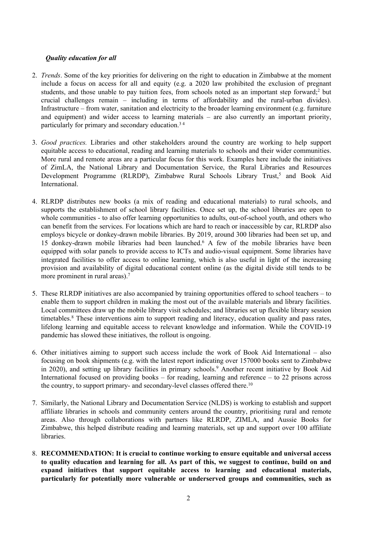## *Quality education for all*

- 2. *Trends*. Some of the key priorities for delivering on the right to education in Zimbabwe at the moment include <sup>a</sup> focus on access for all and equity (e.g. <sup>a</sup> 2020 law prohibited the exclusion of pregnan<sup>t</sup> students, and those unable to pay tuition fees, from schools noted as an important step forward;<sup>2</sup> but crucial challenges remain – including in terms of affordability and the rural-urban divides). Infrastructure – from water, sanitation and electricity to the broader learning environment (e.g. furniture and equipment) and wider access to learning materials – are also currently an important priority, particularly for primary and secondary education. 3 4
- 3. *Good practices.* Libraries and other stakeholders around the country are working to help suppor<sup>t</sup> equitable access to educational, reading and learning materials to schools and their wider communities. More rural and remote areas are <sup>a</sup> particular focus for this work. Examples here include the initiatives of ZimLA, the National Library and Documentation Service, the Rural Libraries and Resources Development Programme (RLRDP), Zimbabwe Rural Schools Library Trust, 5 and Book Aid International.
- 4. RLRDP distributes new books (a mix of reading and educational materials) to rural schools, and supports the establishment of school library facilities. Once set up, the school libraries are open to whole communities - to also offer learning opportunities to adults, out-of-school youth, and others who can benefit from the services. For locations which are hard to reach or inaccessible by car, RLRDP also employs bicycle or donkey-drawn mobile libraries. By 2019, around 300 libraries had been set up, and 15 donkey-drawn mobile libraries had been launched. <sup>6</sup> A few of the mobile libraries have been equipped with solar panels to provide access to ICTs and audio-visual equipment. Some libraries have integrated facilities to offer access to online learning, which is also useful in light of the increasing provision and availability of digital educational content online (as the digital divide still tends to be more prominent in rural areas). 7
- 5. These RLRDP initiatives are also accompanied by training opportunities offered to school teachers to enable them to suppor<sup>t</sup> children in making the most out of the available materials and library facilities. Local committees draw up the mobile library visit schedules; and libraries set up flexible library session timetables. 8 These interventions aim to suppor<sup>t</sup> reading and literacy, education quality and pass rates, lifelong learning and equitable access to relevant knowledge and information. While the COVID-19 pandemic has slowed these initiatives, the rollout is ongoing.
- 6. Other initiatives aiming to suppor<sup>t</sup> such access include the work of Book Aid International also focusing on book shipments (e.g. with the latest repor<sup>t</sup> indicating over 157000 books sent to Zimbabwe in 2020), and setting up library facilities in primary schools. <sup>9</sup> Another recent initiative by Book Aid International focused on providing books – for reading, learning and reference – to 22 prisons across the country, to support primary- and secondary-level classes offered there.<sup>10</sup>
- 7. Similarly, the National Library and Documentation Service (NLDS) is working to establish and suppor<sup>t</sup> affiliate libraries in schools and community centers around the country, prioritising rural and remote areas. Also through collaborations with partners like RLRDP, ZIMLA, and Aussie Books for Zimbabwe, this helped distribute reading and learning materials, set up and suppor<sup>t</sup> over 100 affiliate libraries.
- 8. **RECOMMENDATION: It is crucial to continue working to ensure equitable and universal access** to quality education and learning for all. As part of this, we suggest to continue, build on and **expand initiatives that support equitable access to learning and educational materials, particularly for potentially more vulnerable or underserved groups and communities, such as**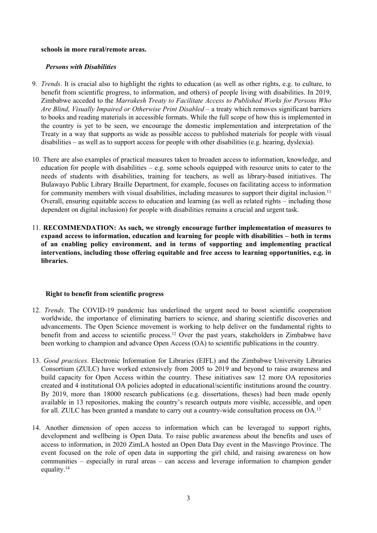#### **schools in more rural/remote areas.**

## *Persons with Disabilities*

- 9. *Trends*. It is crucial also to highlight the rights to education (as well as other rights, e.g. to culture, to benefit from scientific progress, to information, and others) of people living with disabilities. In 2019, Zimbabwe acceded to the *Marrakesh Treaty to Facilitate Access to Published Works for Persons Who Are Blind, Visually Impaired or Otherwise Print Disabled –* <sup>a</sup> treaty which removes significant barriers to books and reading materials in accessible formats. While the full scope of how this is implemented in the country is ye<sup>t</sup> to be seen, we encourage the domestic implementation and interpretation of the Treaty in <sup>a</sup> way that supports as wide as possible access to published materials for people with visual disabilities – as well as to suppor<sup>t</sup> access for people with other disabilities (e.g. hearing, dyslexia).
- 10. There are also examples of practical measures taken to broaden access to information, knowledge, and education for people with disabilities – e.g. some schools equipped with resource units to cater to the needs of students with disabilities, training for teachers, as well as library-based initiatives. The Bulawayo Public Library Braille Department, for example, focuses on facilitating access to information for community members with visual disabilities, including measures to support their digital inclusion.<sup>11</sup> Overall, ensuring equitable access to education and learning (as well as related rights – including those dependent on digital inclusion) for people with disabilities remains <sup>a</sup> crucial and urgen<sup>t</sup> task.
- 11. **RECOMMENDATION: As such, we strongly encourage further implementation of measures to expand access to information, education and learning for people with disabilities – both in terms of an enabling policy environment, and in terms of supporting and implementing practical interventions, including those offering equitable and free access to learning opportunities, e.g. in libraries.**

### **Right to benefit from scientific progress**

- 12. *Trends.* The COVID-19 pandemic has underlined the urgen<sup>t</sup> need to boost scientific cooperation worldwide, the importance of eliminating barriers to science, and sharing scientific discoveries and advancements. The Open Science movement is working to help deliver on the fundamental rights to benefit from and access to scientific process.<sup>12</sup> Over the past years, stakeholders in Zimbabwe have been working to champion and advance Open Access (OA) to scientific publications in the country.
- 13. *Good practices*. Electronic Information for Libraries (EIFL) and the Zimbabwe University Libraries Consortium (ZULC) have worked extensively from 2005 to 2019 and beyond to raise awareness and build capacity for Open Access within the country. These initiatives saw 12 more OA repositories created and 4 institutional OA policies adopted in educational/scientific institutions around the country. By 2019, more than 18000 research publications (e.g. dissertations, theses) had been made openly available in 13 repositories, making the country'<sup>s</sup> research outputs more visible, accessible, and open for all. ZULC has been granted a mandate to carry out a country-wide consultation process on OA.<sup>13</sup>
- 14. Another dimension of open access to information which can be leveraged to suppor<sup>t</sup> rights, development and wellbeing is Open Data. To raise public awareness about the benefits and uses of access to information, in 2020 ZimLA hosted an Open Data Day event in the Masvingo Province. The event focused on the role of open data in supporting the girl child, and raising awareness on how communities – especially in rural areas – can access and leverage information to champion gender equality. 14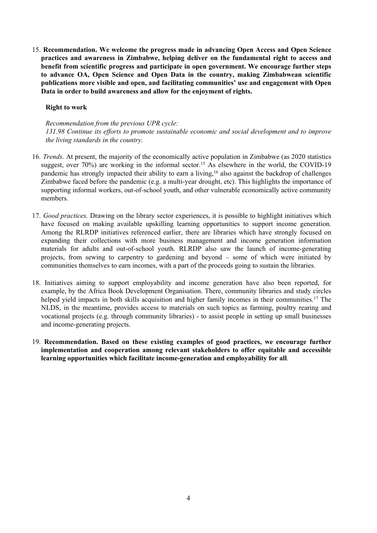15. **Recommendation. We welcome the progress made in advancing Open Access and Open Science practices and awareness in Zimbabwe, helping deliver on the fundamental right to access and benefit from scientific progress and participate in open government. We encourage further steps to advance OA, Open Science and Open Data in the country, making Zimbabwean scientific publications more visible and open, and facilitating communities' use and engagemen<sup>t</sup> with Open Data in order to build awareness and allow for the enjoyment of rights.**

## **Right to work**

*Recommendation from the previous UPR cycle: 131.98 Continue its efforts to promote sustainable economic and social development and to improve the living standards in the country.*

- 16. *Trends*. At present, the majority of the economically active population in Zimbabwe (as 2020 statistics suggest, over 70%) are working in the informal sector. <sup>15</sup> As elsewhere in the world, the COVID-19 pandemic has strongly impacted their ability to earn <sup>a</sup> living, 16 also against the backdrop of challenges Zimbabwe faced before the pandemic (e.g. <sup>a</sup> multi-year drought, etc). This highlights the importance of supporting informal workers, out-of-school youth, and other vulnerable economically active community members.
- 17. *Good practices.* Drawing on the library sector experiences, it is possible to highlight initiatives which have focused on making available upskilling learning opportunities to suppor<sup>t</sup> income generation. Among the RLRDP initiatives referenced earlier, there are libraries which have strongly focused on expanding their collections with more business managemen<sup>t</sup> and income generation information materials for adults and out-of-school youth. RLRDP also saw the launch of income-generating projects, from sewing to carpentry to gardening and beyond – some of which were initiated by communities themselves to earn incomes, with <sup>a</sup> par<sup>t</sup> of the proceeds going to sustain the libraries.
- 18. Initiatives aiming to suppor<sup>t</sup> employability and income generation have also been reported, for example, by the Africa Book Development Organisation. There, community libraries and study circles helped yield impacts in both skills acquisition and higher family incomes in their communities.<sup>17</sup> The NLDS, in the meantime, provides access to materials on such topics as farming, poultry rearing and vocational projects (e.g. through community libraries) - to assist people in setting up small businesses and income-generating projects.
- 19. **Recommendation. Based on these existing examples of good practices, we encourage further implementation and cooperation among relevant stakeholders to offer equitable and accessible learning opportunities which facilitate income-generation and employability for all***.*